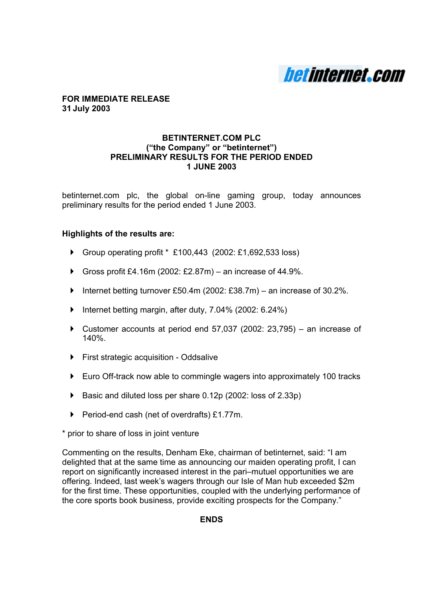

#### **FOR IMMEDIATE RELEASE 31 July 2003**

## **BETINTERNET.COM PLC ("the Company" or "betinternet") PRELIMINARY RESULTS FOR THE PERIOD ENDED 1 JUNE 2003**

betinternet.com plc, the global on-line gaming group, today announces preliminary results for the period ended 1 June 2003.

## **Highlights of the results are:**

- ▶ Group operating profit \* £100,443 (2002: £1,692,533 loss)
- Gross profit £4.16m (2002: £2.87m) an increase of 44.9%.
- $\blacktriangleright$  Internet betting turnover £50.4m (2002: £38.7m) an increase of 30.2%.
- $\blacktriangleright$  Internet betting margin, after duty, 7.04% (2002: 6.24%)
- $\triangleright$  Customer accounts at period end 57,037 (2002: 23,795) an increase of 140%.
- $\triangleright$  First strategic acquisition Oddsalive
- Euro Off-track now able to commingle wagers into approximately 100 tracks
- ▶ Basic and diluted loss per share 0.12p (2002: loss of 2.33p)
- ▶ Period-end cash (net of overdrafts) £1.77m.

\* prior to share of loss in joint venture

Commenting on the results, Denham Eke, chairman of betinternet, said: "I am delighted that at the same time as announcing our maiden operating profit, I can report on significantly increased interest in the pari–mutuel opportunities we are offering. Indeed, last week's wagers through our Isle of Man hub exceeded \$2m for the first time. These opportunities, coupled with the underlying performance of the core sports book business, provide exciting prospects for the Company."

## **ENDS**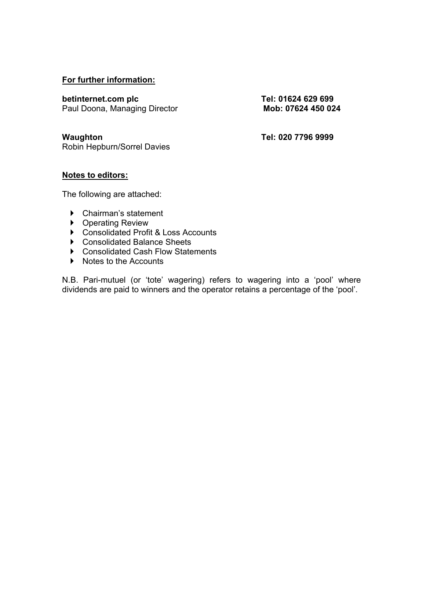## **For further information:**

**betinternet.com plc** Tel: 01624 629 699 Paul Doona, Managing Director **Mob: 07624 450 024** 

Robin Hepburn/Sorrel Davies

**Waughton Tel: 020 7796 9999** 

## **Notes to editors:**

The following are attached:

- $\triangleright$  Chairman's statement
- ▶ Operating Review
- ▶ Consolidated Profit & Loss Accounts
- ▶ Consolidated Balance Sheets
- ▶ Consolidated Cash Flow Statements
- $\triangleright$  Notes to the Accounts

N.B. Pari-mutuel (or 'tote' wagering) refers to wagering into a 'pool' where dividends are paid to winners and the operator retains a percentage of the 'pool'.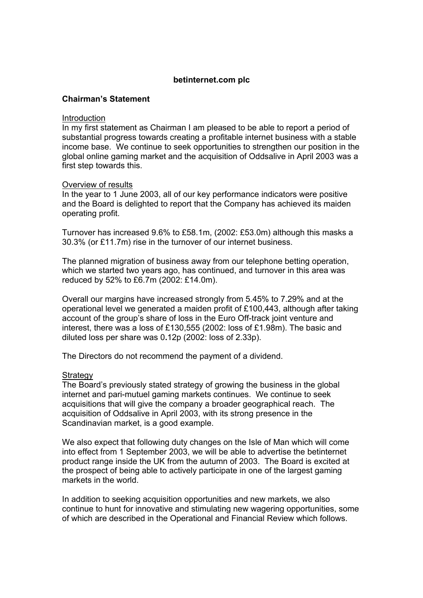## **Chairman's Statement**

#### Introduction

In my first statement as Chairman I am pleased to be able to report a period of substantial progress towards creating a profitable internet business with a stable income base. We continue to seek opportunities to strengthen our position in the global online gaming market and the acquisition of Oddsalive in April 2003 was a first step towards this.

## Overview of results

In the year to 1 June 2003, all of our key performance indicators were positive and the Board is delighted to report that the Company has achieved its maiden operating profit.

Turnover has increased 9.6% to £58.1m, (2002: £53.0m) although this masks a 30.3% (or £11.7m) rise in the turnover of our internet business.

The planned migration of business away from our telephone betting operation, which we started two years ago, has continued, and turnover in this area was reduced by 52% to £6.7m (2002: £14.0m).

Overall our margins have increased strongly from 5.45% to 7.29% and at the operational level we generated a maiden profit of £100,443, although after taking account of the group's share of loss in the Euro Off-track joint venture and interest, there was a loss of £130,555 (2002: loss of £1.98m). The basic and diluted loss per share was 0**.**12p (2002: loss of 2.33p).

The Directors do not recommend the payment of a dividend.

## **Strategy**

The Board's previously stated strategy of growing the business in the global internet and pari-mutuel gaming markets continues. We continue to seek acquisitions that will give the company a broader geographical reach. The acquisition of Oddsalive in April 2003, with its strong presence in the Scandinavian market, is a good example.

We also expect that following duty changes on the Isle of Man which will come into effect from 1 September 2003, we will be able to advertise the betinternet product range inside the UK from the autumn of 2003. The Board is excited at the prospect of being able to actively participate in one of the largest gaming markets in the world.

In addition to seeking acquisition opportunities and new markets, we also continue to hunt for innovative and stimulating new wagering opportunities, some of which are described in the Operational and Financial Review which follows.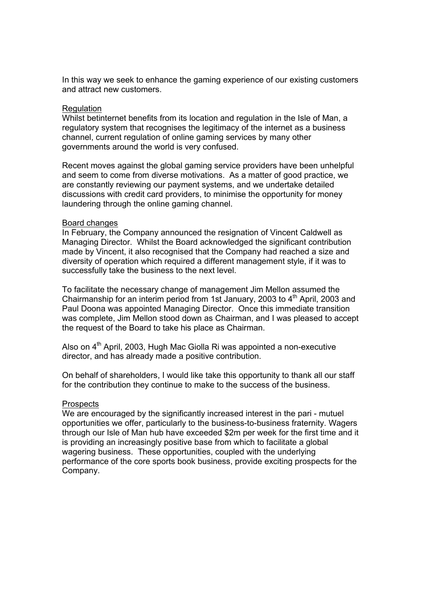In this way we seek to enhance the gaming experience of our existing customers and attract new customers.

#### **Requlation**

Whilst betinternet benefits from its location and regulation in the Isle of Man, a regulatory system that recognises the legitimacy of the internet as a business channel, current regulation of online gaming services by many other governments around the world is very confused.

Recent moves against the global gaming service providers have been unhelpful and seem to come from diverse motivations. As a matter of good practice, we are constantly reviewing our payment systems, and we undertake detailed discussions with credit card providers, to minimise the opportunity for money laundering through the online gaming channel.

#### Board changes

In February, the Company announced the resignation of Vincent Caldwell as Managing Director. Whilst the Board acknowledged the significant contribution made by Vincent, it also recognised that the Company had reached a size and diversity of operation which required a different management style, if it was to successfully take the business to the next level.

To facilitate the necessary change of management Jim Mellon assumed the Chairmanship for an interim period from 1st January, 2003 to  $4<sup>th</sup>$  April, 2003 and Paul Doona was appointed Managing Director. Once this immediate transition was complete, Jim Mellon stood down as Chairman, and I was pleased to accept the request of the Board to take his place as Chairman.

Also on 4<sup>th</sup> April, 2003, Hugh Mac Giolla Ri was appointed a non-executive director, and has already made a positive contribution.

On behalf of shareholders, I would like take this opportunity to thank all our staff for the contribution they continue to make to the success of the business.

#### **Prospects**

We are encouraged by the significantly increased interest in the pari - mutuel opportunities we offer, particularly to the business-to-business fraternity. Wagers through our Isle of Man hub have exceeded \$2m per week for the first time and it is providing an increasingly positive base from which to facilitate a global wagering business. These opportunities, coupled with the underlying performance of the core sports book business, provide exciting prospects for the Company.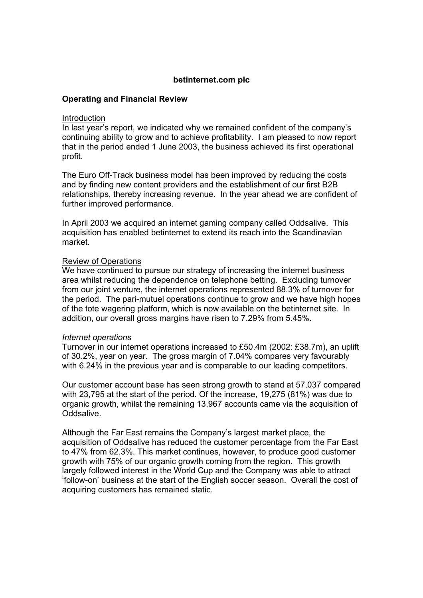## **Operating and Financial Review**

#### Introduction

In last year's report, we indicated why we remained confident of the company's continuing ability to grow and to achieve profitability. I am pleased to now report that in the period ended 1 June 2003, the business achieved its first operational profit.

The Euro Off-Track business model has been improved by reducing the costs and by finding new content providers and the establishment of our first B2B relationships, thereby increasing revenue. In the year ahead we are confident of further improved performance.

In April 2003 we acquired an internet gaming company called Oddsalive. This acquisition has enabled betinternet to extend its reach into the Scandinavian market.

## Review of Operations

We have continued to pursue our strategy of increasing the internet business area whilst reducing the dependence on telephone betting. Excluding turnover from our joint venture, the internet operations represented 88.3% of turnover for the period. The pari-mutuel operations continue to grow and we have high hopes of the tote wagering platform, which is now available on the betinternet site. In addition, our overall gross margins have risen to 7.29% from 5.45%.

## *Internet operations*

Turnover in our internet operations increased to £50.4m (2002: £38.7m), an uplift of 30.2%, year on year. The gross margin of 7.04% compares very favourably with 6.24% in the previous year and is comparable to our leading competitors.

Our customer account base has seen strong growth to stand at 57,037 compared with 23,795 at the start of the period. Of the increase, 19,275 (81%) was due to organic growth, whilst the remaining 13,967 accounts came via the acquisition of Oddsalive.

Although the Far East remains the Company's largest market place, the acquisition of Oddsalive has reduced the customer percentage from the Far East to 47% from 62.3%. This market continues, however, to produce good customer growth with 75% of our organic growth coming from the region. This growth largely followed interest in the World Cup and the Company was able to attract 'follow-on' business at the start of the English soccer season. Overall the cost of acquiring customers has remained static.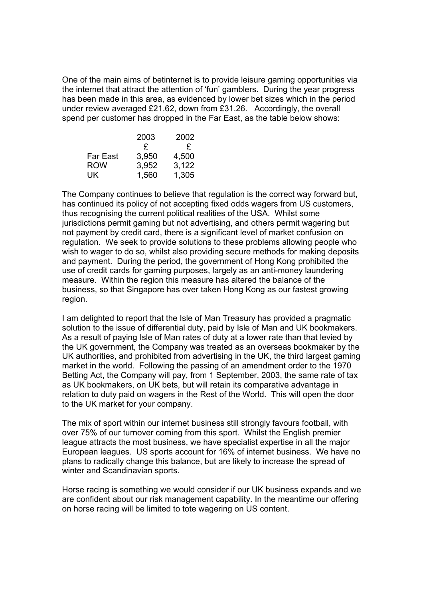One of the main aims of betinternet is to provide leisure gaming opportunities via the internet that attract the attention of 'fun' gamblers. During the year progress has been made in this area, as evidenced by lower bet sizes which in the period under review averaged £21.62, down from £31.26. Accordingly, the overall spend per customer has dropped in the Far East, as the table below shows:

|                 | 2003  | 2002  |
|-----------------|-------|-------|
|                 | £     | £     |
| <b>Far East</b> | 3,950 | 4,500 |
| <b>ROW</b>      | 3,952 | 3.122 |
| UK.             | 1,560 | 1,305 |

The Company continues to believe that regulation is the correct way forward but, has continued its policy of not accepting fixed odds wagers from US customers, thus recognising the current political realities of the USA. Whilst some jurisdictions permit gaming but not advertising, and others permit wagering but not payment by credit card, there is a significant level of market confusion on regulation. We seek to provide solutions to these problems allowing people who wish to wager to do so, whilst also providing secure methods for making deposits and payment. During the period, the government of Hong Kong prohibited the use of credit cards for gaming purposes, largely as an anti-money laundering measure. Within the region this measure has altered the balance of the business, so that Singapore has over taken Hong Kong as our fastest growing region.

I am delighted to report that the Isle of Man Treasury has provided a pragmatic solution to the issue of differential duty, paid by Isle of Man and UK bookmakers. As a result of paying Isle of Man rates of duty at a lower rate than that levied by the UK government, the Company was treated as an overseas bookmaker by the UK authorities, and prohibited from advertising in the UK, the third largest gaming market in the world. Following the passing of an amendment order to the 1970 Betting Act, the Company will pay, from 1 September, 2003, the same rate of tax as UK bookmakers, on UK bets, but will retain its comparative advantage in relation to duty paid on wagers in the Rest of the World. This will open the door to the UK market for your company.

The mix of sport within our internet business still strongly favours football, with over 75% of our turnover coming from this sport. Whilst the English premier league attracts the most business, we have specialist expertise in all the major European leagues. US sports account for 16% of internet business. We have no plans to radically change this balance, but are likely to increase the spread of winter and Scandinavian sports.

Horse racing is something we would consider if our UK business expands and we are confident about our risk management capability. In the meantime our offering on horse racing will be limited to tote wagering on US content.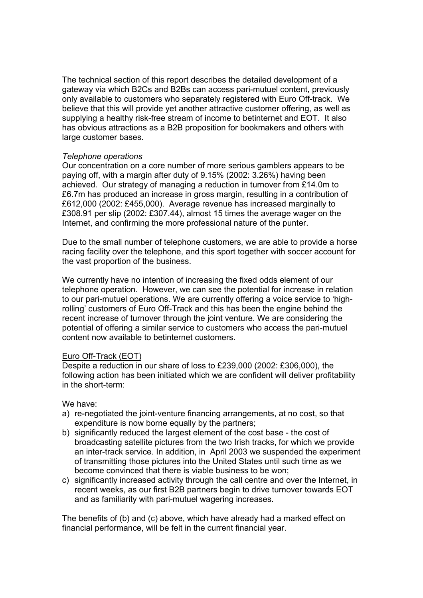The technical section of this report describes the detailed development of a gateway via which B2Cs and B2Bs can access pari-mutuel content, previously only available to customers who separately registered with Euro Off-track. We believe that this will provide yet another attractive customer offering, as well as supplying a healthy risk-free stream of income to betinternet and EOT. It also has obvious attractions as a B2B proposition for bookmakers and others with large customer bases.

## *Telephone operations*

Our concentration on a core number of more serious gamblers appears to be paying off, with a margin after duty of 9.15% (2002: 3.26%) having been achieved. Our strategy of managing a reduction in turnover from £14.0m to £6.7m has produced an increase in gross margin, resulting in a contribution of £612,000 (2002: £455,000). Average revenue has increased marginally to £308.91 per slip (2002: £307.44), almost 15 times the average wager on the Internet, and confirming the more professional nature of the punter.

Due to the small number of telephone customers, we are able to provide a horse racing facility over the telephone, and this sport together with soccer account for the vast proportion of the business.

We currently have no intention of increasing the fixed odds element of our telephone operation. However, we can see the potential for increase in relation to our pari-mutuel operations. We are currently offering a voice service to 'highrolling' customers of Euro Off-Track and this has been the engine behind the recent increase of turnover through the joint venture. We are considering the potential of offering a similar service to customers who access the pari-mutuel content now available to betinternet customers.

## Euro Off-Track (EOT)

Despite a reduction in our share of loss to £239,000 (2002: £306,000), the following action has been initiated which we are confident will deliver profitability in the short-term:

We have:

- a) re-negotiated the joint-venture financing arrangements, at no cost, so that expenditure is now borne equally by the partners;
- b) significantly reduced the largest element of the cost base the cost of broadcasting satellite pictures from the two Irish tracks, for which we provide an inter-track service. In addition, in April 2003 we suspended the experiment of transmitting those pictures into the United States until such time as we become convinced that there is viable business to be won;
- c) significantly increased activity through the call centre and over the Internet, in recent weeks, as our first B2B partners begin to drive turnover towards EOT and as familiarity with pari-mutuel wagering increases.

The benefits of (b) and (c) above, which have already had a marked effect on financial performance, will be felt in the current financial year.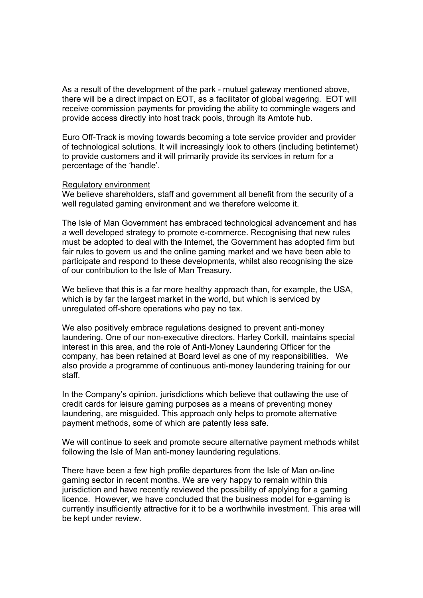As a result of the development of the park - mutuel gateway mentioned above, there will be a direct impact on EOT, as a facilitator of global wagering. EOT will receive commission payments for providing the ability to commingle wagers and provide access directly into host track pools, through its Amtote hub.

Euro Off-Track is moving towards becoming a tote service provider and provider of technological solutions. It will increasingly look to others (including betinternet) to provide customers and it will primarily provide its services in return for a percentage of the 'handle'.

#### Regulatory environment

We believe shareholders, staff and government all benefit from the security of a well regulated gaming environment and we therefore welcome it.

The Isle of Man Government has embraced technological advancement and has a well developed strategy to promote e-commerce. Recognising that new rules must be adopted to deal with the Internet, the Government has adopted firm but fair rules to govern us and the online gaming market and we have been able to participate and respond to these developments, whilst also recognising the size of our contribution to the Isle of Man Treasury.

We believe that this is a far more healthy approach than, for example, the USA, which is by far the largest market in the world, but which is serviced by unregulated off-shore operations who pay no tax.

We also positively embrace regulations designed to prevent anti-money laundering. One of our non-executive directors, Harley Corkill, maintains special interest in this area, and the role of Anti-Money Laundering Officer for the company, has been retained at Board level as one of my responsibilities. We also provide a programme of continuous anti-money laundering training for our staff.

In the Company's opinion, jurisdictions which believe that outlawing the use of credit cards for leisure gaming purposes as a means of preventing money laundering, are misguided. This approach only helps to promote alternative payment methods, some of which are patently less safe.

We will continue to seek and promote secure alternative payment methods whilst following the Isle of Man anti-money laundering regulations.

There have been a few high profile departures from the Isle of Man on-line gaming sector in recent months. We are very happy to remain within this jurisdiction and have recently reviewed the possibility of applying for a gaming licence. However, we have concluded that the business model for e-gaming is currently insufficiently attractive for it to be a worthwhile investment. This area will be kept under review.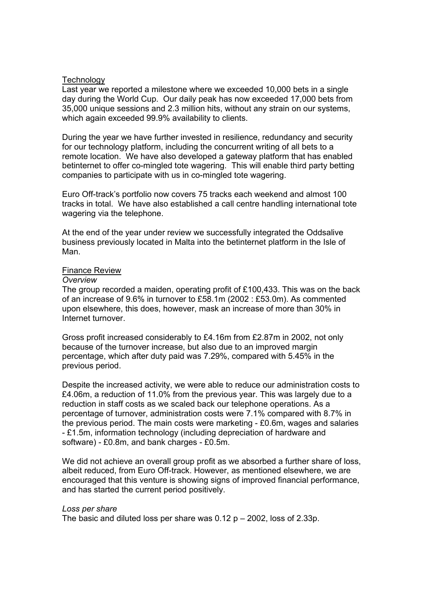#### **Technology**

Last year we reported a milestone where we exceeded 10,000 bets in a single day during the World Cup. Our daily peak has now exceeded 17,000 bets from 35,000 unique sessions and 2.3 million hits, without any strain on our systems, which again exceeded 99.9% availability to clients.

During the year we have further invested in resilience, redundancy and security for our technology platform, including the concurrent writing of all bets to a remote location. We have also developed a gateway platform that has enabled betinternet to offer co-mingled tote wagering. This will enable third party betting companies to participate with us in co-mingled tote wagering.

Euro Off-track's portfolio now covers 75 tracks each weekend and almost 100 tracks in total. We have also established a call centre handling international tote wagering via the telephone.

At the end of the year under review we successfully integrated the Oddsalive business previously located in Malta into the betinternet platform in the Isle of Man.

#### Finance Review

#### *Overview*

The group recorded a maiden, operating profit of £100,433. This was on the back of an increase of 9.6% in turnover to £58.1m (2002 : £53.0m). As commented upon elsewhere, this does, however, mask an increase of more than 30% in Internet turnover.

Gross profit increased considerably to £4.16m from £2.87m in 2002, not only because of the turnover increase, but also due to an improved margin percentage, which after duty paid was 7.29%, compared with 5.45% in the previous period.

Despite the increased activity, we were able to reduce our administration costs to £4.06m, a reduction of 11.0% from the previous year. This was largely due to a reduction in staff costs as we scaled back our telephone operations. As a percentage of turnover, administration costs were 7.1% compared with 8.7% in the previous period. The main costs were marketing - £0.6m, wages and salaries - £1.5m, information technology (including depreciation of hardware and software) - £0.8m, and bank charges - £0.5m.

We did not achieve an overall group profit as we absorbed a further share of loss, albeit reduced, from Euro Off-track. However, as mentioned elsewhere, we are encouraged that this venture is showing signs of improved financial performance, and has started the current period positively.

#### *Loss per share*

The basic and diluted loss per share was  $0.12$  p  $-$  2002, loss of 2.33p.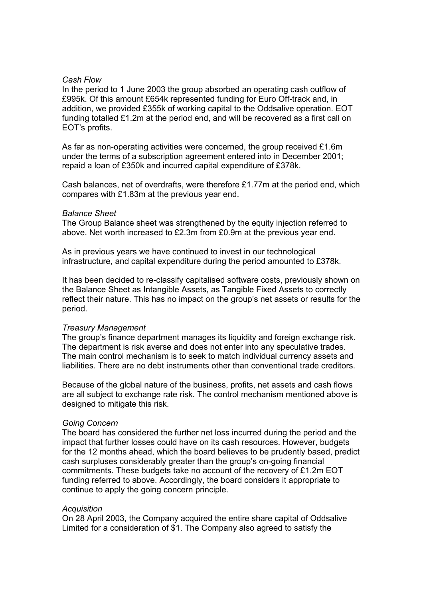#### *Cash Flow*

In the period to 1 June 2003 the group absorbed an operating cash outflow of £995k. Of this amount £654k represented funding for Euro Off-track and, in addition, we provided £355k of working capital to the Oddsalive operation. EOT funding totalled £1.2m at the period end, and will be recovered as a first call on EOT's profits.

As far as non-operating activities were concerned, the group received £1.6m under the terms of a subscription agreement entered into in December 2001; repaid a loan of £350k and incurred capital expenditure of £378k.

Cash balances, net of overdrafts, were therefore £1.77m at the period end, which compares with £1.83m at the previous year end.

#### *Balance Sheet*

The Group Balance sheet was strengthened by the equity injection referred to above. Net worth increased to £2.3m from £0.9m at the previous year end.

As in previous years we have continued to invest in our technological infrastructure, and capital expenditure during the period amounted to £378k.

It has been decided to re-classify capitalised software costs, previously shown on the Balance Sheet as Intangible Assets, as Tangible Fixed Assets to correctly reflect their nature. This has no impact on the group's net assets or results for the period.

#### *Treasury Management*

The group's finance department manages its liquidity and foreign exchange risk. The department is risk averse and does not enter into any speculative trades. The main control mechanism is to seek to match individual currency assets and liabilities. There are no debt instruments other than conventional trade creditors.

Because of the global nature of the business, profits, net assets and cash flows are all subject to exchange rate risk. The control mechanism mentioned above is designed to mitigate this risk.

#### *Going Concern*

The board has considered the further net loss incurred during the period and the impact that further losses could have on its cash resources. However, budgets for the 12 months ahead, which the board believes to be prudently based, predict cash surpluses considerably greater than the group's on-going financial commitments. These budgets take no account of the recovery of £1.2m EOT funding referred to above. Accordingly, the board considers it appropriate to continue to apply the going concern principle.

#### *Acquisition*

On 28 April 2003, the Company acquired the entire share capital of Oddsalive Limited for a consideration of \$1. The Company also agreed to satisfy the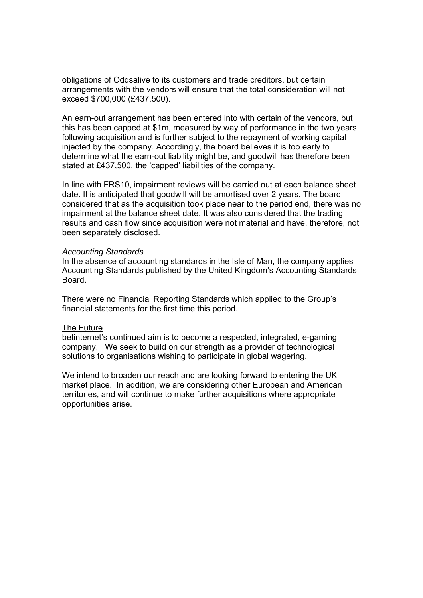obligations of Oddsalive to its customers and trade creditors, but certain arrangements with the vendors will ensure that the total consideration will not exceed \$700,000 (£437,500).

An earn-out arrangement has been entered into with certain of the vendors, but this has been capped at \$1m, measured by way of performance in the two years following acquisition and is further subject to the repayment of working capital injected by the company. Accordingly, the board believes it is too early to determine what the earn-out liability might be, and goodwill has therefore been stated at £437,500, the 'capped' liabilities of the company.

In line with FRS10, impairment reviews will be carried out at each balance sheet date. It is anticipated that goodwill will be amortised over 2 years. The board considered that as the acquisition took place near to the period end, there was no impairment at the balance sheet date. It was also considered that the trading results and cash flow since acquisition were not material and have, therefore, not been separately disclosed.

#### *Accounting Standards*

In the absence of accounting standards in the Isle of Man, the company applies Accounting Standards published by the United Kingdom's Accounting Standards Board.

There were no Financial Reporting Standards which applied to the Group's financial statements for the first time this period.

## The Future

betinternet's continued aim is to become a respected, integrated, e-gaming company. We seek to build on our strength as a provider of technological solutions to organisations wishing to participate in global wagering.

We intend to broaden our reach and are looking forward to entering the UK market place. In addition, we are considering other European and American territories, and will continue to make further acquisitions where appropriate opportunities arise.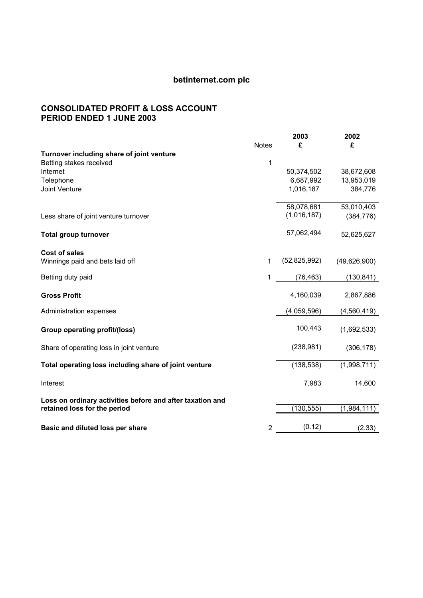## **CONSOLIDATED PROFIT & LOSS ACCOUNT PERIOD ENDED 1 JUNE 2003**

|                                                           |              | 2003         | 2002           |
|-----------------------------------------------------------|--------------|--------------|----------------|
|                                                           | <b>Notes</b> | £            | £              |
| Turnover including share of joint venture                 |              |              |                |
| Betting stakes received                                   | 1            |              |                |
| Internet                                                  |              | 50,374,502   | 38,672,608     |
| Telephone                                                 |              | 6,687,992    | 13,953,019     |
| <b>Joint Venture</b>                                      |              | 1,016,187    | 384,776        |
|                                                           |              |              |                |
|                                                           |              | 58,078,681   | 53,010,403     |
| Less share of joint venture turnover                      |              | (1,016,187)  | (384, 776)     |
|                                                           |              |              |                |
| <b>Total group turnover</b>                               |              | 57,062,494   | 52,625,627     |
|                                                           |              |              |                |
| <b>Cost of sales</b>                                      |              |              |                |
| Winnings paid and bets laid off                           | 1            | (52,825,992) | (49, 626, 900) |
|                                                           |              |              |                |
| Betting duty paid                                         | 1            | (76, 463)    | (130, 841)     |
|                                                           |              |              |                |
| <b>Gross Profit</b>                                       |              | 4,160,039    | 2,867,886      |
|                                                           |              |              |                |
| Administration expenses                                   |              | (4,059,596)  | (4,560,419)    |
|                                                           |              |              |                |
| Group operating profit/(loss)                             |              | 100,443      | (1,692,533)    |
|                                                           |              |              |                |
| Share of operating loss in joint venture                  |              | (238, 981)   | (306, 178)     |
|                                                           |              |              |                |
| Total operating loss including share of joint venture     |              | (138, 538)   | (1,998,711)    |
|                                                           |              |              |                |
| Interest                                                  |              | 7,983        | 14,600         |
|                                                           |              |              |                |
| Loss on ordinary activities before and after taxation and |              |              |                |
| retained loss for the period                              |              | (130, 555)   | (1,984,111)    |
|                                                           |              |              |                |
| Basic and diluted loss per share                          | 2            | (0.12)       | (2.33)         |
|                                                           |              |              |                |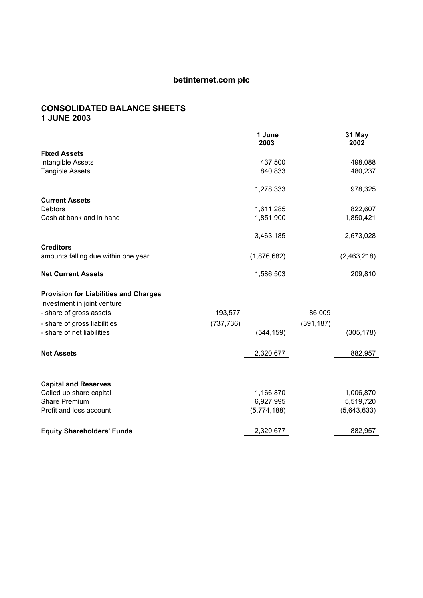## **CONSOLIDATED BALANCE SHEETS 1 JUNE 2003**

|                                              |            | 1 June<br>2003 |            | 31 May<br>2002 |
|----------------------------------------------|------------|----------------|------------|----------------|
| <b>Fixed Assets</b>                          |            |                |            |                |
| Intangible Assets                            |            | 437,500        |            | 498,088        |
| <b>Tangible Assets</b>                       |            | 840,833        |            | 480,237        |
|                                              |            | 1,278,333      |            | 978,325        |
| <b>Current Assets</b>                        |            |                |            |                |
| <b>Debtors</b>                               |            | 1,611,285      |            | 822,607        |
| Cash at bank and in hand                     |            | 1,851,900      |            | 1,850,421      |
|                                              |            | 3,463,185      |            | 2,673,028      |
| <b>Creditors</b>                             |            |                |            |                |
| amounts falling due within one year          |            | (1,876,682)    |            | (2,463,218)    |
| <b>Net Current Assets</b>                    |            | 1,586,503      |            | 209,810        |
| <b>Provision for Liabilities and Charges</b> |            |                |            |                |
| Investment in joint venture                  |            |                |            |                |
| - share of gross assets                      | 193,577    |                | 86,009     |                |
| - share of gross liabilities                 | (737, 736) |                | (391, 187) |                |
| - share of net liabilities                   |            | (544, 159)     |            | (305, 178)     |
| <b>Net Assets</b>                            |            | 2,320,677      |            | 882,957        |
|                                              |            |                |            |                |
| <b>Capital and Reserves</b>                  |            |                |            |                |
| Called up share capital                      |            | 1,166,870      |            | 1,006,870      |
| <b>Share Premium</b>                         |            | 6,927,995      |            | 5,519,720      |
| Profit and loss account                      |            | (5,774,188)    |            | (5,643,633)    |
| <b>Equity Shareholders' Funds</b>            |            | 2,320,677      |            | 882,957        |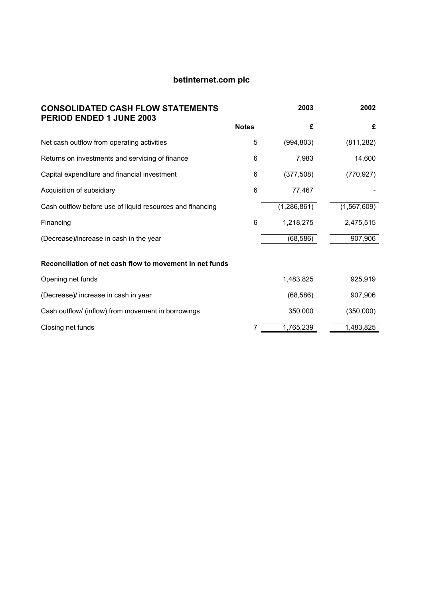| <b>CONSOLIDATED CASH FLOW STATEMENTS</b><br>PERIOD ENDED 1 JUNE 2003 |              | 2003          | 2002        |
|----------------------------------------------------------------------|--------------|---------------|-------------|
|                                                                      | <b>Notes</b> | £             | £           |
| Net cash outflow from operating activities                           | 5            | (994, 803)    | (811, 282)  |
| Returns on investments and servicing of finance                      | 6            | 7,983         | 14,600      |
| Capital expenditure and financial investment                         | 6            | (377, 508)    | (770, 927)  |
| Acquisition of subsidiary                                            | 6            | 77,467        |             |
| Cash outflow before use of liquid resources and financing            |              | (1, 286, 861) | (1,567,609) |
| Financing                                                            | 6            | 1,218,275     | 2,475,515   |
| (Decrease)/increase in cash in the year                              |              | (68, 586)     | 907,906     |
| Reconciliation of net cash flow to movement in net funds             |              |               |             |
| Opening net funds                                                    |              | 1,483,825     | 925,919     |
| (Decrease)/ increase in cash in year                                 |              | (68, 586)     | 907,906     |
| Cash outflow/ (inflow) from movement in borrowings                   |              | 350,000       | (350,000)   |
| Closing net funds                                                    |              | 1,765,239     | 1,483,825   |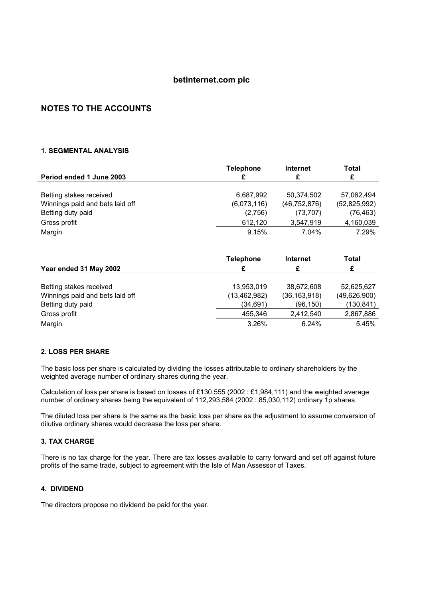## **NOTES TO THE ACCOUNTS**

#### **1. SEGMENTAL ANALYSIS**

|                                 | <b>Telephone</b> | Internet       | Total          |
|---------------------------------|------------------|----------------|----------------|
| Period ended 1 June 2003        |                  |                | £              |
|                                 |                  |                |                |
| Betting stakes received         | 6,687,992        | 50.374.502     | 57,062,494     |
| Winnings paid and bets laid off | (6,073,116)      | (46, 752, 876) | (52, 825, 992) |
| Betting duty paid               | (2,756)          | (73, 707)      | (76, 463)      |
| Gross profit                    | 612.120          | 3,547,919      | 4,160,039      |
| Margin                          | 9.15%            | 7.04%          | 7.29%          |

|                                 | <b>Telephone</b> | Internet       | <b>Total</b> |
|---------------------------------|------------------|----------------|--------------|
| Year ended 31 May 2002          | £                | £              | £            |
|                                 |                  |                |              |
| Betting stakes received         | 13,953,019       | 38.672.608     | 52,625,627   |
| Winnings paid and bets laid off | (13, 462, 982)   | (36, 163, 918) | (49,626,900) |
| Betting duty paid               | (34,691)         | (96,150)       | (130,841)    |
| Gross profit                    | 455.346          | 2.412.540      | 2,867,886    |
| Margin                          | 3.26%            | 6.24%          | 5.45%        |

#### **2. LOSS PER SHARE**

The basic loss per share is calculated by dividing the losses attributable to ordinary shareholders by the weighted average number of ordinary shares during the year.

Calculation of loss per share is based on losses of £130,555 (2002 : £1,984,111) and the weighted average number of ordinary shares being the equivalent of 112,293,584 (2002 : 85,030,112) ordinary 1p shares.

The diluted loss per share is the same as the basic loss per share as the adjustment to assume conversion of dilutive ordinary shares would decrease the loss per share.

#### **3. TAX CHARGE**

There is no tax charge for the year. There are tax losses available to carry forward and set off against future profits of the same trade, subject to agreement with the Isle of Man Assessor of Taxes.

#### **4. DIVIDEND**

The directors propose no dividend be paid for the year.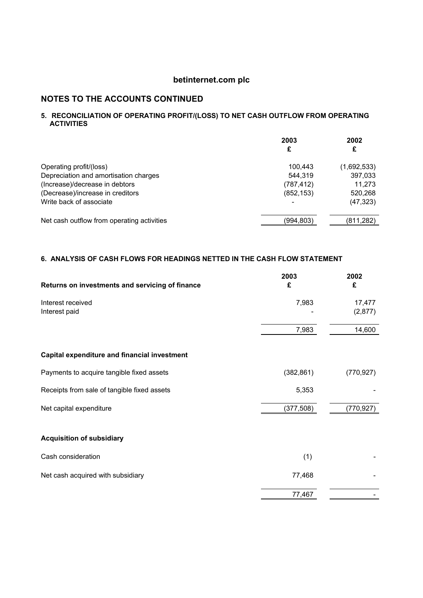## **NOTES TO THE ACCOUNTS CONTINUED**

#### **5. RECONCILIATION OF OPERATING PROFIT/(LOSS) TO NET CASH OUTFLOW FROM OPERATING ACTIVITIES**

|                                            | 2003<br>£  | 2002<br>£   |
|--------------------------------------------|------------|-------------|
| Operating profit/(loss)                    | 100.443    | (1,692,533) |
| Depreciation and amortisation charges      | 544.319    | 397,033     |
| (Increase)/decrease in debtors             | (787, 412) | 11,273      |
| (Decrease)/increase in creditors           | (852, 153) | 520,268     |
| Write back of associate                    |            | (47, 323)   |
| Net cash outflow from operating activities | (994,803)  | (811.282)   |

## **6. ANALYSIS OF CASH FLOWS FOR HEADINGS NETTED IN THE CASH FLOW STATEMENT**

| Returns on investments and servicing of finance     | 2003<br>£  | 2002<br>£         |
|-----------------------------------------------------|------------|-------------------|
| Interest received<br>Interest paid                  | 7,983      | 17,477<br>(2,877) |
|                                                     | 7,983      | 14,600            |
| <b>Capital expenditure and financial investment</b> |            |                   |
| Payments to acquire tangible fixed assets           | (382, 861) | (770, 927)        |
| Receipts from sale of tangible fixed assets         | 5,353      |                   |
| Net capital expenditure                             | (377, 508) | (770, 927)        |
| <b>Acquisition of subsidiary</b>                    |            |                   |
| Cash consideration                                  | (1)        |                   |
| Net cash acquired with subsidiary                   | 77,468     |                   |
|                                                     | 77,467     |                   |